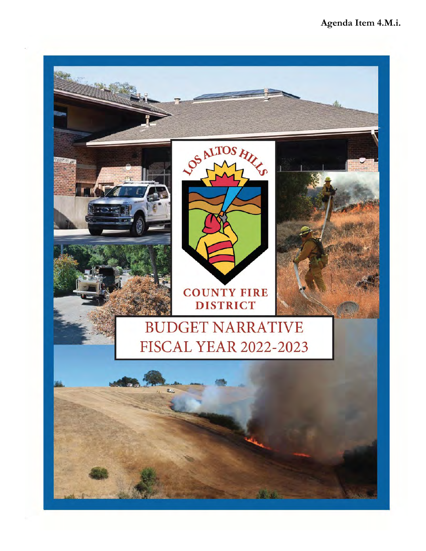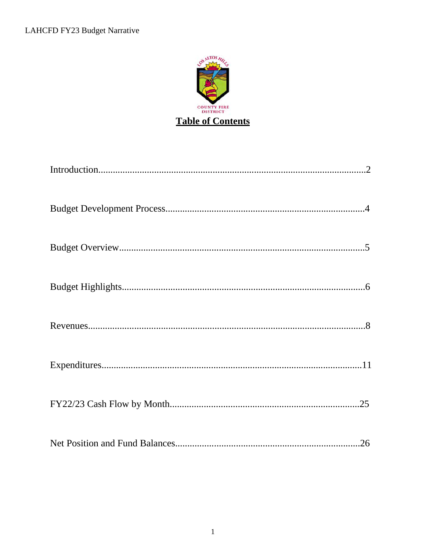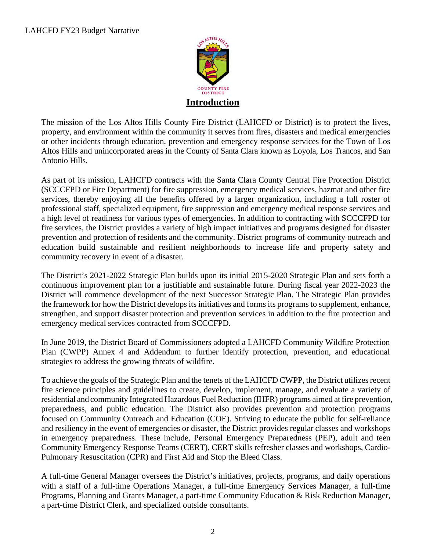

The mission of the Los Altos Hills County Fire District (LAHCFD or District) is to protect the lives, property, and environment within the community it serves from fires, disasters and medical emergencies or other incidents through education, prevention and emergency response services for the Town of Los Altos Hills and unincorporated areas in the County of Santa Clara known as Loyola, Los Trancos, and San Antonio Hills.

As part of its mission, LAHCFD contracts with the Santa Clara County Central Fire Protection District (SCCCFPD or Fire Department) for fire suppression, emergency medical services, hazmat and other fire services, thereby enjoying all the benefits offered by a larger organization, including a full roster of professional staff, specialized equipment, fire suppression and emergency medical response services and a high level of readiness for various types of emergencies. In addition to contracting with SCCCFPD for fire services, the District provides a variety of high impact initiatives and programs designed for disaster prevention and protection of residents and the community. District programs of community outreach and education build sustainable and resilient neighborhoods to increase life and property safety and community recovery in event of a disaster.

The District's 2021-2022 Strategic Plan builds upon its initial 2015-2020 Strategic Plan and sets forth a continuous improvement plan for a justifiable and sustainable future. During fiscal year 2022-2023 the District will commence development of the next Successor Strategic Plan. The Strategic Plan provides the framework for how the District develops its initiatives and forms its programs to supplement, enhance, strengthen, and support disaster protection and prevention services in addition to the fire protection and emergency medical services contracted from SCCCFPD.

In June 2019, the District Board of Commissioners adopted a LAHCFD Community Wildfire Protection Plan (CWPP) Annex 4 and Addendum to further identify protection, prevention, and educational strategies to address the growing threats of wildfire.

To achieve the goals of the Strategic Plan and the tenets of the LAHCFD CWPP, the District utilizes recent fire science principles and guidelines to create, develop, implement, manage, and evaluate a variety of residential and community Integrated Hazardous Fuel Reduction (IHFR) programs aimed at fire prevention, preparedness, and public education. The District also provides prevention and protection programs focused on Community Outreach and Education (COE). Striving to educate the public for self-reliance and resiliency in the event of emergencies or disaster, the District provides regular classes and workshops in emergency preparedness. These include, Personal Emergency Preparedness (PEP), adult and teen Community Emergency Response Teams (CERT), CERT skills refresher classes and workshops, Cardio-Pulmonary Resuscitation (CPR) and First Aid and Stop the Bleed Class.

A full-time General Manager oversees the District's initiatives, projects, programs, and daily operations with a staff of a full-time Operations Manager, a full-time Emergency Services Manager, a full-time Programs, Planning and Grants Manager, a part-time Community Education & Risk Reduction Manager, a part-time District Clerk, and specialized outside consultants.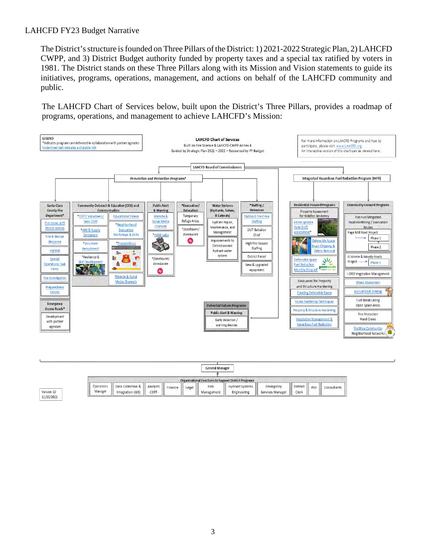The District's structure is founded on Three Pillars of the District: 1) 2021-2022 Strategic Plan, 2) LAHCFD CWPP, and 3) District Budget authority funded by property taxes and a special tax ratified by voters in 1981. The District stands on these Three Pillars along with its Mission and Vision statements to guide its initiatives, programs, operations, management, and actions on behalf of the LAHCFD community and public.

The LAHCFD Chart of Services below, built upon the District's Three Pillars, provides a roadmap of programs, operations, and management to achieve LAHCFD's Mission:



|                              |                                        |                    |         |       | <b>General Manager</b>    |                                                              |                                      |                          |     |             |
|------------------------------|----------------------------------------|--------------------|---------|-------|---------------------------|--------------------------------------------------------------|--------------------------------------|--------------------------|-----|-------------|
|                              |                                        |                    |         |       |                           |                                                              |                                      |                          |     |             |
|                              |                                        |                    |         |       |                           | <b>Organizational Functions to Support District Programs</b> |                                      |                          |     |             |
| <b>Operations</b><br>Manager | Data Collection &<br>Integration (GIS) | Analysts<br>-CERT- | Finance | Legal | <b>Risk</b><br>Management | <b>Hydrant Systems</b><br>Engineering                        | Emergency<br><b>Services Manager</b> | <b>District</b><br>Clerk | PIO | Consultants |

3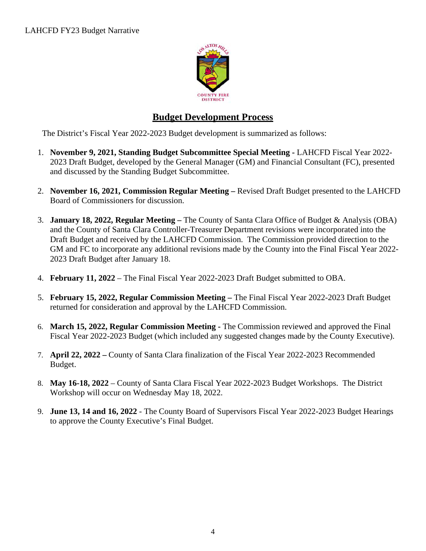

# **Budget Development Process**

The District's Fiscal Year 2022-2023 Budget development is summarized as follows:

- 1. **November 9, 2021, Standing Budget Subcommittee Special Meeting** LAHCFD Fiscal Year 2022- 2023 Draft Budget, developed by the General Manager (GM) and Financial Consultant (FC), presented and discussed by the Standing Budget Subcommittee.
- 2. **November 16, 2021, Commission Regular Meeting** Revised Draft Budget presented to the LAHCFD Board of Commissioners for discussion.
- 3. **January 18, 2022, Regular Meeting** The County of Santa Clara Office of Budget & Analysis (OBA) and the County of Santa Clara Controller-Treasurer Department revisions were incorporated into the Draft Budget and received by the LAHCFD Commission. The Commission provided direction to the GM and FC to incorporate any additional revisions made by the County into the Final Fiscal Year 2022- 2023 Draft Budget after January 18.
- 4. **February 11, 2022** The Final Fiscal Year 2022-2023 Draft Budget submitted to OBA.
- 5. **February 15, 2022, Regular Commission Meeting** The Final Fiscal Year 2022-2023 Draft Budget returned for consideration and approval by the LAHCFD Commission.
- 6. **March 15, 2022, Regular Commission Meeting** The Commission reviewed and approved the Final Fiscal Year 2022-2023 Budget (which included any suggested changes made by the County Executive).
- 7. **April 22, 2022 –** County of Santa Clara finalization of the Fiscal Year 2022-2023 Recommended Budget.
- 8. **May 16-18, 2022** County of Santa Clara Fiscal Year 2022-2023 Budget Workshops. The District Workshop will occur on Wednesday May 18, 2022.
- 9. **June 13, 14 and 16, 2022**  The County Board of Supervisors Fiscal Year 2022-2023 Budget Hearings to approve the County Executive's Final Budget.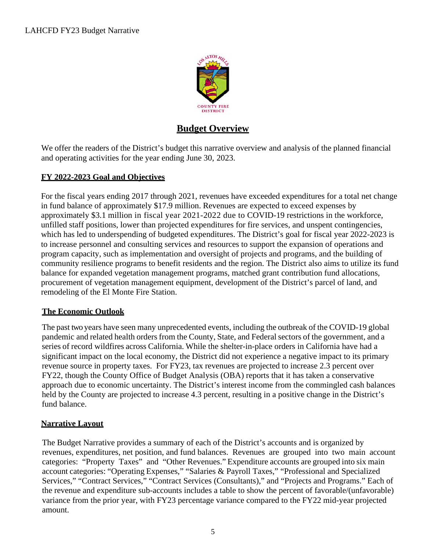

# **Budget Overview**

We offer the readers of the District's budget this narrative overview and analysis of the planned financial and operating activities for the year ending June 30, 2023.

### **FY 2022-2023 Goal and Objectives**

For the fiscal years ending 2017 through 2021, revenues have exceeded expenditures for a total net change in fund balance of approximately \$17.9 million. Revenues are expected to exceed expenses by approximately \$3.1 million in fiscal year 2021-2022 due to COVID-19 restrictions in the workforce, unfilled staff positions, lower than projected expenditures for fire services, and unspent contingencies, which has led to underspending of budgeted expenditures. The District's goal for fiscal year 2022-2023 is to increase personnel and consulting services and resources to support the expansion of operations and program capacity, such as implementation and oversight of projects and programs, and the building of community resilience programs to benefit residents and the region. The District also aims to utilize its fund balance for expanded vegetation management programs, matched grant contribution fund allocations, procurement of vegetation management equipment, development of the District's parcel of land, and remodeling of the El Monte Fire Station.

## **The Economic Outlook**

The past two years have seen many unprecedented events, including the outbreak of the COVID-19 global pandemic and related health orders from the County, State, and Federal sectors of the government, and a series of record wildfires across California. While the shelter-in-place orders in California have had a significant impact on the local economy, the District did not experience a negative impact to its primary revenue source in property taxes. For FY23, tax revenues are projected to increase 2.3 percent over FY22, though the County Office of Budget Analysis (OBA) reports that it has taken a conservative approach due to economic uncertainty. The District's interest income from the commingled cash balances held by the County are projected to increase 4.3 percent, resulting in a positive change in the District's fund balance.

#### **Narrative Layout**

The Budget Narrative provides a summary of each of the District's accounts and is organized by revenues, expenditures, net position, and fund balances. Revenues are grouped into two main account categories: "Property Taxes" and "Other Revenues." Expenditure accounts are grouped into six main account categories: "Operating Expenses," "Salaries & Payroll Taxes," "Professional and Specialized Services," "Contract Services," "Contract Services (Consultants)," and "Projects and Programs." Each of the revenue and expenditure sub-accounts includes a table to show the percent of favorable/(unfavorable) variance from the prior year, with FY23 percentage variance compared to the FY22 mid-year projected amount.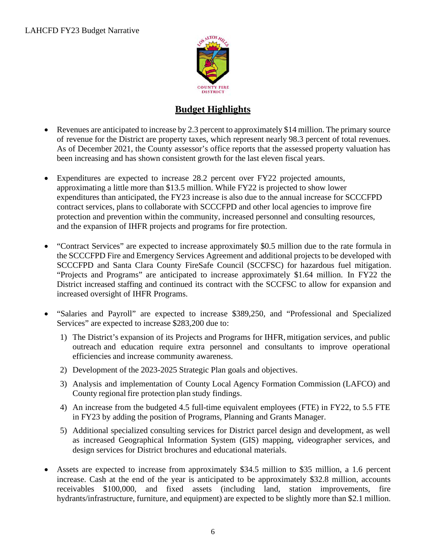

# **Budget Highlights**

- Revenues are anticipated to increase by 2.3 percent to approximately \$14 million. The primary source of revenue for the District are property taxes, which represent nearly 98.3 percent of total revenues. As of December 2021, the County assessor's office reports that the assessed property valuation has been increasing and has shown consistent growth for the last eleven fiscal years.
- Expenditures are expected to increase 28.2 percent over FY22 projected amounts, approximating a little more than \$13.5 million. While FY22 is projected to show lower expenditures than anticipated, the FY23 increase is also due to the annual increase for SCCCFPD contract services, plans to collaborate with SCCCFPD and other local agencies to improve fire protection and prevention within the community, increased personnel and consulting resources, and the expansion of IHFR projects and programs for fire protection.
- "Contract Services" are expected to increase approximately \$0.5 million due to the rate formula in the SCCCFPD Fire and Emergency Services Agreement and additional projects to be developed with SCCCFPD and Santa Clara County FireSafe Council (SCCFSC) for hazardous fuel mitigation. "Projects and Programs" are anticipated to increase approximately \$1.64 million. In FY22 the District increased staffing and continued its contract with the SCCFSC to allow for expansion and increased oversight of IHFR Programs.
- "Salaries and Payroll" are expected to increase \$389,250, and "Professional and Specialized Services" are expected to increase \$283,200 due to:
	- 1) The District's expansion of its Projects and Programs for IHFR, mitigation services, and public outreach and education require extra personnel and consultants to improve operational efficiencies and increase community awareness.
	- 2) Development of the 2023-2025 Strategic Plan goals and objectives.
	- 3) Analysis and implementation of County Local Agency Formation Commission (LAFCO) and County regional fire protection plan study findings.
	- 4) An increase from the budgeted 4.5 full-time equivalent employees (FTE) in FY22, to 5.5 FTE in FY23 by adding the position of Programs, Planning and Grants Manager.
	- 5) Additional specialized consulting services for District parcel design and development, as well as increased Geographical Information System (GIS) mapping, videographer services, and design services for District brochures and educational materials.
- Assets are expected to increase from approximately \$34.5 million to \$35 million, a 1.6 percent increase. Cash at the end of the year is anticipated to be approximately \$32.8 million, accounts receivables \$100,000, and fixed assets (including land, station improvements, fire hydrants/infrastructure, furniture, and equipment) are expected to be slightly more than \$2.1 million.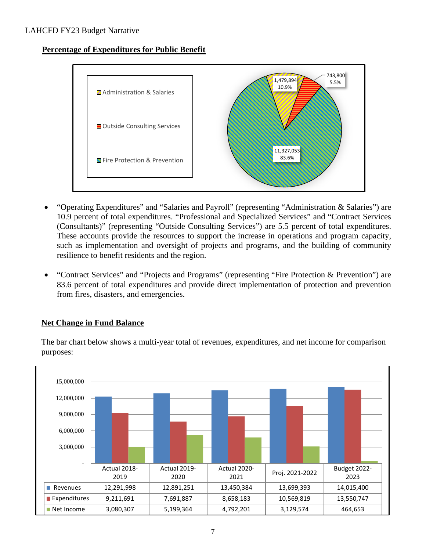**Percentage of Expenditures for Public Benefit**



- "Operating Expenditures" and "Salaries and Payroll" (representing "Administration & Salaries") are 10.9 percent of total expenditures. "Professional and Specialized Services" and "Contract Services (Consultants)" (representing "Outside Consulting Services") are 5.5 percent of total expenditures. These accounts provide the resources to support the increase in operations and program capacity, such as implementation and oversight of projects and programs, and the building of community resilience to benefit residents and the region.
- "Contract Services" and "Projects and Programs" (representing "Fire Protection & Prevention") are 83.6 percent of total expenditures and provide direct implementation of protection and prevention from fires, disasters, and emergencies.

#### **Net Change in Fund Balance**



The bar chart below shows a multi-year total of revenues, expenditures, and net income for comparison purposes: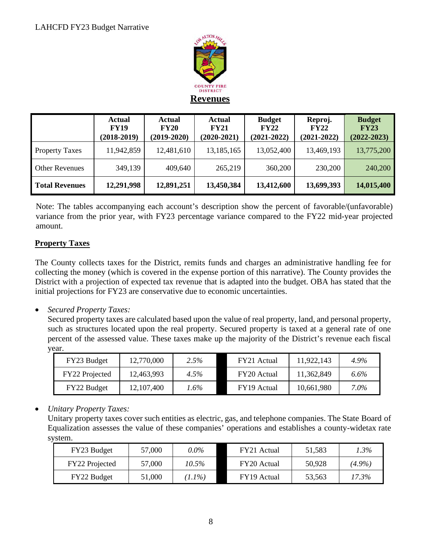

|                       | <b>Actual</b><br><b>FY19</b><br>$(2018-2019)$ | <b>Actual</b><br><b>FY20</b><br>$(2019-2020)$ | <b>Actual</b><br><b>FY21</b><br>$(2020-2021)$ | <b>Budget</b><br><b>FY22</b><br>$(2021 - 2022)$ | Reproj.<br><b>FY22</b><br>$(2021 - 2022)$ | <b>Budget</b><br><b>FY23</b><br>$(2022 - 2023)$ |
|-----------------------|-----------------------------------------------|-----------------------------------------------|-----------------------------------------------|-------------------------------------------------|-------------------------------------------|-------------------------------------------------|
| <b>Property Taxes</b> | 11,942,859                                    | 12,481,610                                    | 13,185,165                                    | 13,052,400                                      | 13,469,193                                | 13,775,200                                      |
| <b>Other Revenues</b> | 349,139                                       | 409,640                                       | 265,219                                       | 360,200                                         | 230,200                                   | 240,200                                         |
| <b>Total Revenues</b> | 12,291,998                                    | 12,891,251                                    | 13,450,384                                    | 13,412,600                                      | 13,699,393                                | 14,015,400                                      |

Note: The tables accompanying each account's description show the percent of favorable/(unfavorable) variance from the prior year, with FY23 percentage variance compared to the FY22 mid-year projected amount.

# **Property Taxes**

The County collects taxes for the District, remits funds and charges an administrative handling fee for collecting the money (which is covered in the expense portion of this narrative). The County provides the District with a projection of expected tax revenue that is adapted into the budget. OBA has stated that the initial projections for FY23 are conservative due to economic uncertainties.

• *Secured Property Taxes:*

Secured property taxes are calculated based upon the value of real property, land, and personal property, such as structures located upon the real property. Secured property is taxed at a general rate of one percent of the assessed value. These taxes make up the majority of the District's revenue each fiscal year.

| FY23 Budget           | 12,770,000 | 2.5% | FY21 Actual | 11,922,143 | 4.9%    |
|-----------------------|------------|------|-------------|------------|---------|
| <b>FY22</b> Projected | 12,463,993 | 4.5% | FY20 Actual | 11,362,849 | 6.6%    |
| FY22 Budget           | 12,107,400 | '.6% | FY19 Actual | 10,661,980 | $7.0\%$ |

## • *Unitary Property Taxes:*

Unitary property taxes cover such entities as electric, gas, and telephone companies. The State Board of Equalization assesses the value of these companies' operations and establishes a county-widetax rate system.

| FY23 Budget           | 57,000 | 0.0%      | FY21 Actual | 51.583 | 1.3%      |
|-----------------------|--------|-----------|-------------|--------|-----------|
| <b>FY22</b> Projected | 57,000 | 10.5%     | FY20 Actual | 50,928 | $(4.9\%)$ |
| <b>FY22 Budget</b>    | 51,000 | $(1.1\%)$ | FY19 Actual | 53.563 | 17.3%     |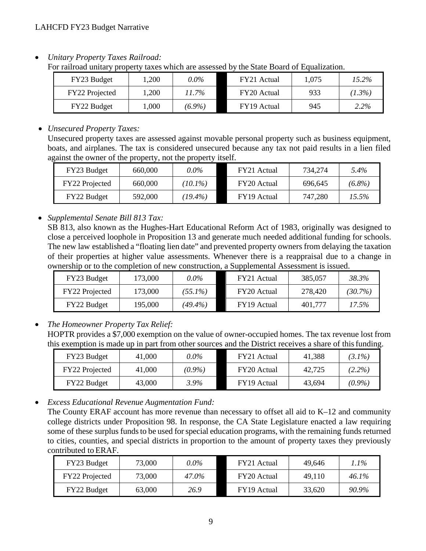• *Unitary Property Taxes Railroad:* 

For railroad unitary property taxes which are assessed by the State Board of Equalization.

| FY23 Budget    | ,200 | $0.0\%$   | FY21 Actual | 1.075 | $15.2\%$  |
|----------------|------|-----------|-------------|-------|-----------|
| FY22 Projected | ,200 | 11.7%     | FY20 Actual | 933   | $(1.3\%)$ |
| FY22 Budget    | .000 | $(6.9\%)$ | FY19 Actual | 945   | 2.2%      |

#### • *Unsecured Property Taxes:*

Unsecured property taxes are assessed against movable personal property such as business equipment, boats, and airplanes. The tax is considered unsecured because any tax not paid results in a lien filed against the owner of the property, not the property itself.

| FY23 Budget    | 660,000 | 0.0%       | FY21 Actual | 734.274 | 5.4%      |
|----------------|---------|------------|-------------|---------|-----------|
| FY22 Projected | 660,000 | $(10.1\%)$ | FY20 Actual | 696.645 | $(6.8\%)$ |
| FY22 Budget    | 592,000 | $(19.4\%)$ | FY19 Actual | 747,280 | 15.5%     |

## • *Supplemental Senate Bill 813 Tax:*

SB 813, also known as the Hughes-Hart Educational Reform Act of 1983, originally was designed to close a perceived loophole in Proposition 13 and generate much needed additional funding for schools. The new law established a "floating lien date" and prevented property owners from delaying the taxation of their properties at higher value assessments. Whenever there is a reappraisal due to a change in ownership or to the completion of new construction, a Supplemental Assessment is issued.

| FY23 Budget    | 173,000 | 0.0%       | FY21 Actual | 385,057 | 38.3%      |
|----------------|---------|------------|-------------|---------|------------|
| FY22 Projected | 173,000 | $(55.1\%)$ | FY20 Actual | 278,420 | $(30.7\%)$ |
| FY22 Budget    | 195,000 | $(49.4\%)$ | FY19 Actual | 401.777 | 17.5%      |

## • *The Homeowner Property Tax Relief:*

HOPTR provides a \$7,000 exemption on the value of owner-occupied homes. The tax revenue lost from this exemption is made up in part from other sources and the District receives a share of this funding.

| FY23 Budget           | 41,000 | 0.0%      | FY21 Actual | 41,388 | $(3.1\%)$ |
|-----------------------|--------|-----------|-------------|--------|-----------|
| <b>FY22</b> Projected | 41,000 | $(0.9\%)$ | FY20 Actual | 42.725 | $(2.2\%)$ |
| FY22 Budget           | 43,000 | 3.9%      | FY19 Actual | 43.694 | $(0.9\%)$ |

• *Excess Educational Revenue Augmentation Fund:* 

The County ERAF account has more revenue than necessary to offset all aid to K–12 and community college districts under Proposition 98. In response, the CA State Legislature enacted a law requiring some of these surplus funds to be used for special education programs, with the remaining funds returned to cities, counties, and special districts in proportion to the amount of property taxes they previously contributed to ERAF.

| FY23 Budget    | 73,000 | 0.0%  | FY21 Actual | 49.646 | ! .1% |
|----------------|--------|-------|-------------|--------|-------|
| FY22 Projected | 73,000 | 47.0% | FY20 Actual | 49.110 | 46.1% |
| FY22 Budget    | 63,000 | 26.9  | FY19 Actual | 33,620 | 90.9% |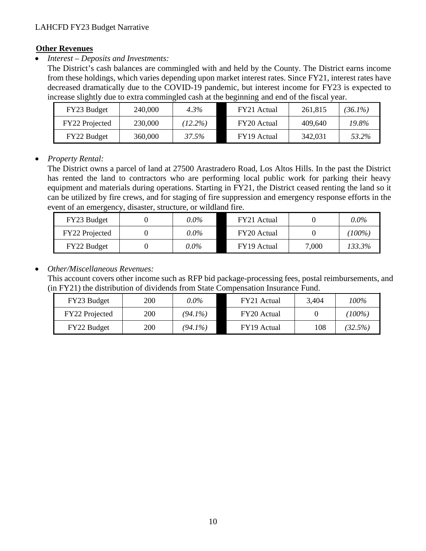#### **Other Revenues**

• *Interest – Deposits and Investments:*

The District's cash balances are commingled with and held by the County. The District earns income from these holdings, which varies depending upon market interest rates. Since FY21, interest rates have decreased dramatically due to the COVID-19 pandemic, but interest income for FY23 is expected to increase slightly due to extra commingled cash at the beginning and end of the fiscal year.

| FY23 Budget    | 240,000 | 4.3%       | FY21 Actual | 261,815 | $(36.1\%)$ |
|----------------|---------|------------|-------------|---------|------------|
| FY22 Projected | 230,000 | $(12.2\%)$ | FY20 Actual | 409.640 | 19.8%      |
| FY22 Budget    | 360,000 | 37.5%      | FY19 Actual | 342,031 | 53.2%      |

#### • *Property Rental:*

The District owns a parcel of land at 27500 Arastradero Road, Los Altos Hills. In the past the District has rented the land to contractors who are performing local public work for parking their heavy equipment and materials during operations. Starting in FY21, the District ceased renting the land so it can be utilized by fire crews, and for staging of fire suppression and emergency response efforts in the event of an emergency, disaster, structure, or wildland fire.

| FY23 Budget    | 0.0%    | FY21 Actual |       | $0.0\%$   |
|----------------|---------|-------------|-------|-----------|
| FY22 Projected | 0.0%    | FY20 Actual |       | $(100\%)$ |
| FY22 Budget    | $0.0\%$ | FY19 Actual | 7,000 | 133.3%    |

### • *Other/Miscellaneous Revenues:*

This account covers other income such as RFP bid package-processing fees, postal reimbursements, and (in FY21) the distribution of dividends from State Compensation Insurance Fund.

| FY23 Budget           | 200 | 0.0%       | FY21 Actual | 3,404 | 100%      |
|-----------------------|-----|------------|-------------|-------|-----------|
| <b>FY22</b> Projected | 200 | $(94.1\%)$ | FY20 Actual |       | $(100\%)$ |
| FY22 Budget           | 200 | $(94.1\%)$ | FY19 Actual | 108   | (32.5%)   |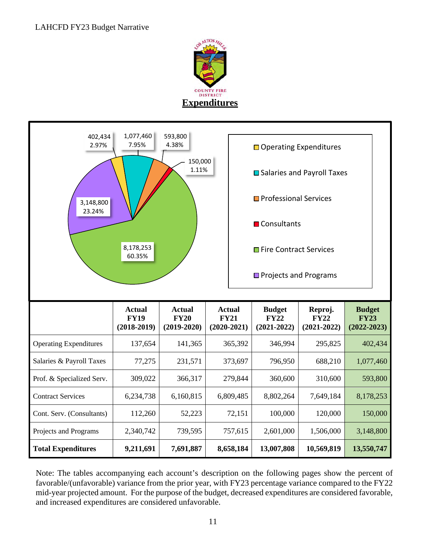

| 402,434<br>2.97%              | 1,077,460<br>7.95%                            | 593,800<br>4.38%                              |                                               | □ Operating Expenditures                        |                                           |                                                 |
|-------------------------------|-----------------------------------------------|-----------------------------------------------|-----------------------------------------------|-------------------------------------------------|-------------------------------------------|-------------------------------------------------|
|                               | 150,000<br>1.11%                              | <b>■</b> Salaries and Payroll Taxes           |                                               |                                                 |                                           |                                                 |
| 3,148,800                     |                                               |                                               |                                               | Professional Services                           |                                           |                                                 |
| 23.24%                        |                                               |                                               |                                               | <b>■</b> Consultants                            |                                           |                                                 |
|                               | 8,178,253<br>60.35%                           |                                               |                                               | Fire Contract Services                          |                                           |                                                 |
|                               |                                               |                                               |                                               | □ Projects and Programs                         |                                           |                                                 |
|                               |                                               |                                               |                                               |                                                 |                                           |                                                 |
|                               |                                               |                                               |                                               |                                                 |                                           |                                                 |
|                               | <b>Actual</b><br><b>FY19</b><br>$(2018-2019)$ | <b>Actual</b><br><b>FY20</b><br>$(2019-2020)$ | <b>Actual</b><br><b>FY21</b><br>$(2020-2021)$ | <b>Budget</b><br><b>FY22</b><br>$(2021 - 2022)$ | Reproj.<br><b>FY22</b><br>$(2021 - 2022)$ | <b>Budget</b><br><b>FY23</b><br>$(2022 - 2023)$ |
| <b>Operating Expenditures</b> | 137,654                                       | 141,365                                       | 365,392                                       | 346,994                                         | 295,825                                   | 402,434                                         |
| Salaries & Payroll Taxes      | 77,275                                        | 231,571                                       | 373,697                                       | 796,950                                         | 688,210                                   | 1,077,460                                       |
| Prof. & Specialized Serv.     | 309,022                                       | 366,317                                       | 279,844                                       | 360,600                                         | 310,600                                   | 593,800                                         |
| <b>Contract Services</b>      | 6,234,738                                     | 6,160,815                                     | 6,809,485                                     | 8,802,264                                       | 7,649,184                                 | 8,178,253                                       |
| Cont. Serv. (Consultants)     | 112,260                                       | 52,223                                        | 72,151                                        | 100,000                                         | 120,000                                   | 150,000                                         |
| Projects and Programs         | 2,340,742                                     | 739,595                                       | 757,615                                       | 2,601,000                                       | 1,506,000                                 | 3,148,800                                       |

Note: The tables accompanying each account's description on the following pages show the percent of favorable/(unfavorable) variance from the prior year, with FY23 percentage variance compared to the FY22 mid-year projected amount. For the purpose of the budget, decreased expenditures are considered favorable, and increased expenditures are considered unfavorable.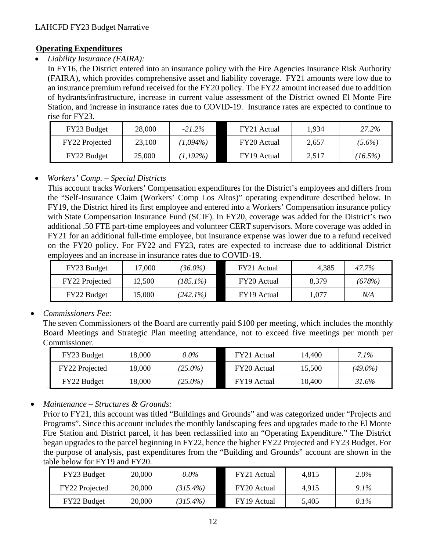## **Operating Expenditures**

• *Liability Insurance (FAIRA):*

In FY16, the District entered into an insurance policy with the Fire Agencies Insurance Risk Authority (FAIRA), which provides comprehensive asset and liability coverage. FY21 amounts were low due to an insurance premium refund received for the FY20 policy. The FY22 amount increased due to addition of hydrants/infrastructure, increase in current value assessment of the District owned El Monte Fire Station, and increase in insurance rates due to COVID-19. Insurance rates are expected to continue to rise for FY23.

| FY23 Budget    | 28,000 | $-21.2\%$   | FY21 Actual | 1.934 | 27.2%      |
|----------------|--------|-------------|-------------|-------|------------|
| FY22 Projected | 23,100 | $(1,094\%)$ | FY20 Actual | 2,657 | $(5.6\%)$  |
| FY22 Budget    | 25,000 | $1,192\%$   | FY19 Actual | 2,517 | $(16.5\%)$ |

# • *Workers' Comp. – Special Districts*

This account tracks Workers' Compensation expenditures for the District's employees and differs from the "Self-Insurance Claim (Workers' Comp Los Altos)" operating expenditure described below. In FY19, the District hired its first employee and entered into a Workers' Compensation insurance policy with State Compensation Insurance Fund (SCIF). In FY20, coverage was added for the District's two additional .50 FTE part-time employees and volunteer CERT supervisors. More coverage was added in FY21 for an additional full-time employee, but insurance expense was lower due to a refund received on the FY20 policy. For FY22 and FY23, rates are expected to increase due to additional District employees and an increase in insurance rates due to COVID-19.

| FY23 Budget        | 17,000 | $36.0\%$    | FY21 Actual | 4,385 | 47.7%  |
|--------------------|--------|-------------|-------------|-------|--------|
| FY22 Projected     | 12,500 | $185.1\%$   | FY20 Actual | 8,379 | (678%) |
| <b>FY22 Budget</b> | 5,000  | $(242.1\%)$ | FY19 Actual | .,077 | N/A    |

# • *Commissioners Fee:*

The seven Commissioners of the Board are currently paid \$100 per meeting, which includes the monthly Board Meetings and Strategic Plan meeting attendance, not to exceed five meetings per month per Commissioner.

| FY23 Budget    | 18,000 | $0.0\%$    | FY21 Actual | 14.400 | 7.1%       |
|----------------|--------|------------|-------------|--------|------------|
| FY22 Projected | 18,000 | $(25.0\%)$ | FY20 Actual | 15,500 | $(49.0\%)$ |
| FY22 Budget    | 18,000 | $(25.0\%)$ | FY19 Actual | 10,400 | 31.6%      |

# • *Maintenance – Structures & Grounds:*

Prior to FY21, this account was titled "Buildings and Grounds" and was categorized under "Projects and Programs". Since this account includes the monthly landscaping fees and upgrades made to the El Monte Fire Station and District parcel, it has been reclassified into an "Operating Expenditure." The District began upgrades to the parcel beginning in FY22, hence the higher FY22 Projected and FY23 Budget. For the purpose of analysis, past expenditures from the "Building and Grounds" account are shown in the table below for FY19 and FY20.

| FY23 Budget    | 20,000 | $0.0\%$     | FY21 Actual | 4.815 | 2.0%    |
|----------------|--------|-------------|-------------|-------|---------|
| FY22 Projected | 20,000 | $(315.4\%)$ | FY20 Actual | 4.915 | $9.1\%$ |
| FY22 Budget    | 20,000 | $(315.4\%)$ | FY19 Actual | 5,405 | 0.1%    |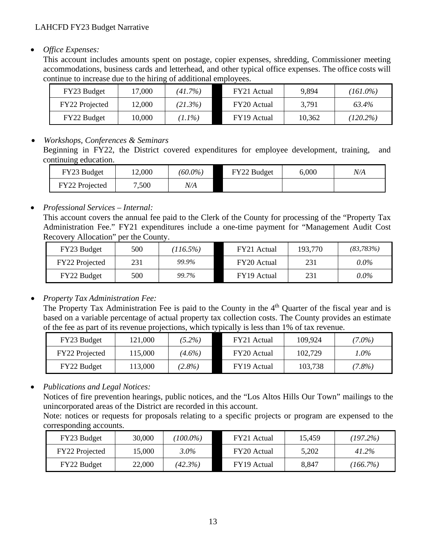#### • *Office Expenses:*

This account includes amounts spent on postage, copier expenses, shredding, Commissioner meeting accommodations, business cards and letterhead, and other typical office expenses. The office costs will continue to increase due to the hiring of additional employees.

| FY23 Budget    | 7,000  | (41.7%)  | FY21 Actual | 9,894  | $(161.0\%)$ |
|----------------|--------|----------|-------------|--------|-------------|
| FY22 Projected | 12,000 | (21.3%)  | FY20 Actual | 3,791  | 63.4%       |
| FY22 Budget    | 10,000 | $1.1\%)$ | FY19 Actual | 10,362 | $(120.2\%)$ |

#### • *Workshops, Conferences & Seminars*

Beginning in FY22, the District covered expenditures for employee development, training, and continuing education.

| FY23 Budget    | 2,000 | $(60.0\%)$ | FY22 Budget | 6,000 | N/A |
|----------------|-------|------------|-------------|-------|-----|
| FY22 Projected | 7,500 | N/A        |             |       |     |

#### • *Professional Services – Internal:*

This account covers the annual fee paid to the Clerk of the County for processing of the "Property Tax Administration Fee." FY21 expenditures include a one-time payment for "Management Audit Cost Recovery Allocation" per the County.

| FY23 Budget    | 500 | $(116.5\%)$ | FY21 Actual | 193,770 | (83, 783%) |
|----------------|-----|-------------|-------------|---------|------------|
| FY22 Projected | 231 | 99.9%       | FY20 Actual | 231     | $0.0\%$    |
| FY22 Budget    | 500 | 99.7%       | FY19 Actual | 231     | $0.0\%$    |

#### • *Property Tax Administration Fee:*

The Property Tax Administration Fee is paid to the County in the 4<sup>th</sup> Quarter of the fiscal year and is based on a variable percentage of actual property tax collection costs. The County provides an estimate of the fee as part of its revenue projections, which typically is less than 1% of tax revenue.

| FY23 Budget           | 121,000 | $(5.2\%)$ | FY21 Actual | 109,924 | $(7.0\%)$ |
|-----------------------|---------|-----------|-------------|---------|-----------|
| <b>FY22</b> Projected | 15,000  | $(4.6\%)$ | FY20 Actual | 102.729 | 1.0%      |
| FY22 Budget           | 13,000  | $(2.8\%)$ | FY19 Actual | 103,738 | $7.8\%$   |

• *Publications and Legal Notices:*

Notices of fire prevention hearings, public notices, and the "Los Altos Hills Our Town" mailings to the unincorporated areas of the District are recorded in this account.

Note: notices or requests for proposals relating to a specific projects or program are expensed to the corresponding accounts.

| FY23 Budget           | 30,000 | $(100.0\%)$ | FY21 Actual | 15.459 | (197.2%) |
|-----------------------|--------|-------------|-------------|--------|----------|
| <b>FY22</b> Projected | 15,000 | $3.0\%$     | FY20 Actual | 5,202  | 41.2%    |
| FY22 Budget           | 22,000 | (42.3%)     | FY19 Actual | 8,847  | (166.7%) |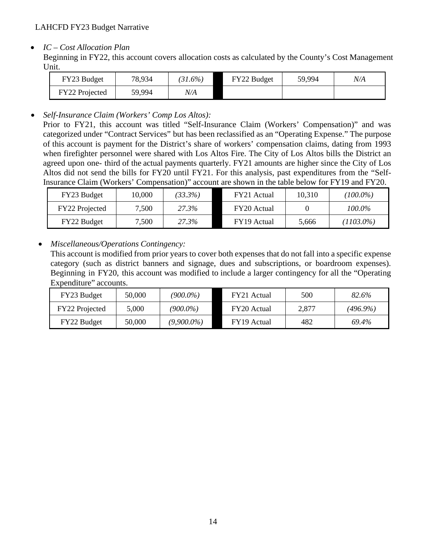### • *IC – Cost Allocation Plan*

Beginning in FY22, this account covers allocation costs as calculated by the County's Cost Management Unit.

| FY23 Budget    | 78,934 | $31.6\%$ | FY22 Budget | 59,994 | N/A |
|----------------|--------|----------|-------------|--------|-----|
| FY22 Projected | 59,994 | V/A      |             |        |     |

• *Self-Insurance Claim (Workers' Comp Los Altos):*

Prior to FY21, this account was titled "Self-Insurance Claim (Workers' Compensation)" and was categorized under "Contract Services" but has been reclassified as an "Operating Expense." The purpose of this account is payment for the District's share of workers' compensation claims, dating from 1993 when firefighter personnel were shared with Los Altos Fire. The City of Los Altos bills the District an agreed upon one- third of the actual payments quarterly. FY21 amounts are higher since the City of Los Altos did not send the bills for FY20 until FY21. For this analysis, past expenditures from the "Self-Insurance Claim (Workers' Compensation)" account are shown in the table below for FY19 and FY20.

| FY23 Budget        | 10.000 | $(33.3\%)$ | FY21 Actual | 10,310 | $(100.0\%)$ |
|--------------------|--------|------------|-------------|--------|-------------|
| FY22 Projected     | 7,500  | 27.3%      | FY20 Actual |        | 100.0%      |
| <b>FY22 Budget</b> | 7,500  | 27.3%      | FY19 Actual | 5.666  | (1103.0%)   |

• *Miscellaneous/Operations Contingency:* 

This account is modified from prior years to cover both expenses that do not fall into a specific expense category (such as district banners and signage, dues and subscriptions, or boardroom expenses). Beginning in FY20, this account was modified to include a larger contingency for all the "Operating Expenditure" accounts.

| FY23 Budget    | 50,000 | $(900.0\%)$   | FY21 Actual | 500   | 82.6%       |
|----------------|--------|---------------|-------------|-------|-------------|
| FY22 Projected | 5,000  | $(900.0\%)$   | FY20 Actual | 2,877 | $(496.9\%)$ |
| FY22 Budget    | 50,000 | $(9,900.0\%)$ | FY19 Actual | 482   | 69.4%       |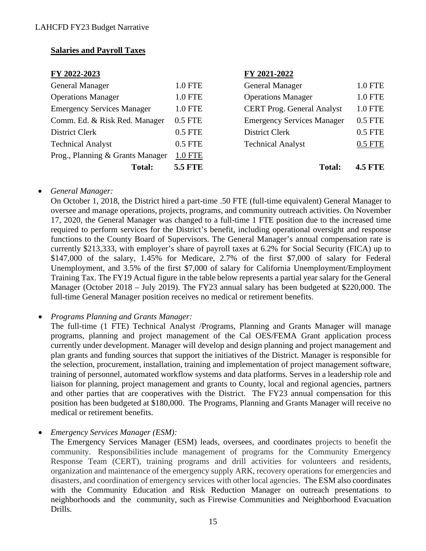### **Salaries and Payroll Taxes**

| FY 2022-2023                      |                | FY 2021-2022                      |                |
|-----------------------------------|----------------|-----------------------------------|----------------|
| <b>General Manager</b>            | 1.0 FTE        | <b>General Manager</b>            | 1.0 FTE        |
| <b>Operations Manager</b>         | 1.0 FTE        | <b>Operations Manager</b>         | <b>1.0 FTE</b> |
| <b>Emergency Services Manager</b> | <b>1.0 FTE</b> | <b>CERT Prog. General Analyst</b> | <b>1.0 FTE</b> |
| Comm. Ed. & Risk Red. Manager     | 0.5 FTE        | <b>Emergency Services Manager</b> | $0.5$ FTE      |
| District Clerk                    | 0.5 FTE        | <b>District Clerk</b>             | $0.5$ FTE      |
| <b>Technical Analyst</b>          | $0.5$ FTE      | <b>Technical Analyst</b>          | 0.5 FTE        |
| Prog., Planning & Grants Manager  | <b>1.0 FTE</b> |                                   |                |
| <b>Total:</b>                     | <b>5.5 FTE</b> | <b>Total:</b>                     | <b>4.5 FTE</b> |

#### • *General Manager:*

On October 1, 2018, the District hired a part-time .50 FTE (full-time equivalent) General Manager to oversee and manage operations, projects, programs, and community outreach activities. On November 17, 2020, the General Manager was changed to a full-time 1 FTE position due to the increased time required to perform services for the District's benefit, including operational oversight and response functions to the County Board of Supervisors. The General Manager's annual compensation rate is currently \$213,333, with employer's share of payroll taxes at 6.2% for Social Security (FICA) up to \$147,000 of the salary, 1.45% for Medicare, 2.7% of the first \$7,000 of salary for Federal Unemployment, and 3.5% of the first \$7,000 of salary for California Unemployment/Employment Training Tax. The FY19 Actual figure in the table below represents a partial year salary for the General Manager (October 2018 – July 2019). The FY23 annual salary has been budgeted at \$220,000. The full-time General Manager position receives no medical or retirement benefits.

The full-time (1 FTE) Technical Analyst /Programs, Planning and Grants Manager will manage programs, planning and project management of the Cal OES/FEMA Grant application process currently under development. Manager will develop and design planning and project management and plan grants and funding sources that support the initiatives of the District. Manager is responsible for the selection, procurement, installation, training and implementation of project management software, training of personnel, automated workflow systems and data platforms. Serves in a leadership role and liaison for planning, project management and grants to County, local and regional agencies, partners and other parties that are cooperatives with the District. The FY23 annual compensation for this position has been budgeted at \$180,000. The Programs, Planning and Grants Manager will receive no medical or retirement benefits.

• *Emergency Services Manager (ESM):*

The Emergency Services Manager (ESM) leads, oversees, and coordinates projects to benefit the community. Responsibilities include management of programs for the Community Emergency Response Team (CERT), training programs and drill activities for volunteers and residents, organization and maintenance of the emergency supply ARK, recovery operations for emergencies and disasters, and coordination of emergency services with other local agencies. The ESM also coordinates with the Community Education and Risk Reduction Manager on outreach presentations to neighborhoods and the community, such as Firewise Communities and Neighborhood Evacuation Drills.

<sup>•</sup> *Programs Planning and Grants Manager:*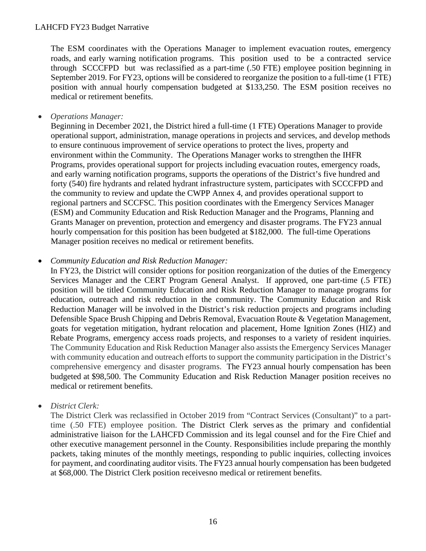The ESM coordinates with the Operations Manager to implement evacuation routes, emergency roads, and early warning notification programs. This position used to be a contracted service through SCCCFPD but was reclassified as a part-time (.50 FTE) employee position beginning in September 2019. For FY23, options will be considered to reorganize the position to a full-time (1 FTE) position with annual hourly compensation budgeted at \$133,250. The ESM position receives no medical or retirement benefits.

• *Operations Manager:* 

Beginning in December 2021, the District hired a full-time (1 FTE) Operations Manager to provide operational support, administration, manage operations in projects and services, and develop methods to ensure continuous improvement of service operations to protect the lives, property and environment within the Community. The Operations Manager works to strengthen the IHFR Programs, provides operational support for projects including evacuation routes, emergency roads, and early warning notification programs, supports the operations of the District's five hundred and forty (540) fire hydrants and related hydrant infrastructure system, participates with SCCCFPD and the community to review and update the CWPP Annex 4, and provides operational support to regional partners and SCCFSC. This position coordinates with the Emergency Services Manager (ESM) and Community Education and Risk Reduction Manager and the Programs, Planning and Grants Manager on prevention, protection and emergency and disaster programs. The FY23 annual hourly compensation for this position has been budgeted at \$182,000. The full-time Operations Manager position receives no medical or retirement benefits.

#### • *Community Education and Risk Reduction Manager:*

In FY23, the District will consider options for position reorganization of the duties of the Emergency Services Manager and the CERT Program General Analyst. If approved, one part-time (.5 FTE) position will be titled Community Education and Risk Reduction Manager to manage programs for education, outreach and risk reduction in the community. The Community Education and Risk Reduction Manager will be involved in the District's risk reduction projects and programs including Defensible Space Brush Chipping and Debris Removal, Evacuation Route & Vegetation Management, goats for vegetation mitigation, hydrant relocation and placement, Home Ignition Zones (HIZ) and Rebate Programs, emergency access roads projects, and responses to a variety of resident inquiries. The Community Education and Risk Reduction Manager also assists the Emergency Services Manager with community education and outreach efforts to support the community participation in the District's comprehensive emergency and disaster programs. The FY23 annual hourly compensation has been budgeted at \$98,500. The Community Education and Risk Reduction Manager position receives no medical or retirement benefits.

#### • *District Clerk:*

The District Clerk was reclassified in October 2019 from "Contract Services (Consultant)" to a parttime (.50 FTE) employee position. The District Clerk serves as the primary and confidential administrative liaison for the LAHCFD Commission and its legal counsel and for the Fire Chief and other executive management personnel in the County. Responsibilities include preparing the monthly packets, taking minutes of the monthly meetings, responding to public inquiries, collecting invoices for payment, and coordinating auditor visits. The FY23 annual hourly compensation has been budgeted at \$68,000. The District Clerk position receives no medical or retirement benefits.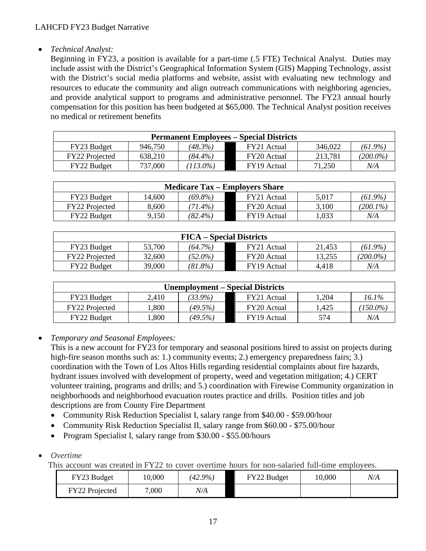## • *Technical Analyst:*

Beginning in FY23, a position is available for a part-time (.5 FTE) Technical Analyst. Duties may include assist with the District's Geographical Information System (GIS) Mapping Technology, assist with the District's social media platforms and website, assist with evaluating new technology and resources to educate the community and align outreach communications with neighboring agencies, and provide analytical support to programs and administrative personnel. The FY23 annual hourly compensation for this position has been budgeted at \$65,000. The Technical Analyst position receives no medical or retirement benefits

| <b>Permanent Employees – Special Districts</b> |         |            |             |         |             |  |  |  |
|------------------------------------------------|---------|------------|-------------|---------|-------------|--|--|--|
| FY23 Budget                                    | 946.750 | $(48.3\%)$ | FY21 Actual | 346,022 | $(61.9\%)$  |  |  |  |
| <b>FY22</b> Projected                          | 638,210 | $(84.4\%)$ | FY20 Actual | 213,781 | $(200.0\%)$ |  |  |  |
| FY22 Budget                                    | 737,000 | $113.0\%$  | FY19 Actual | 71.250  | N/A         |  |  |  |

| <b>Medicare Tax – Employers Share</b> |        |            |             |       |             |  |  |  |
|---------------------------------------|--------|------------|-------------|-------|-------------|--|--|--|
| FY23 Budget                           | 14,600 | (69.8%)    | FY21 Actual | 5.017 | $(61.9\%)$  |  |  |  |
| <b>FY22</b> Projected                 | 8.600  | $(71.4\%)$ | FY20 Actual | 3,100 | $(200.1\%)$ |  |  |  |
| <b>FY22 Budget</b>                    | 9.150  | $(82.4\%)$ | FY19 Actual | 1.033 | N/A         |  |  |  |

| <b>FICA</b> – Special Districts |        |            |             |        |             |  |  |  |
|---------------------------------|--------|------------|-------------|--------|-------------|--|--|--|
| FY23 Budget                     | 53,700 | $(64.7\%)$ | FY21 Actual | 21,453 | $(61.9\%)$  |  |  |  |
| <b>FY22</b> Projected           | 32,600 | $(52.0\%)$ | FY20 Actual | 13.255 | $(200.0\%)$ |  |  |  |
| <b>FY22 Budget</b>              | 39,000 | (81.8%)    | FY19 Actual | 4.418  | N/A         |  |  |  |

| <b>Unemployment – Special Districts</b> |       |         |             |        |             |  |  |  |
|-----------------------------------------|-------|---------|-------------|--------|-------------|--|--|--|
| FY23 Budget                             | 2,410 | 33.9%)  | FY21 Actual | 204. ا | 16.1%       |  |  |  |
| FY22 Projected                          | .800  | (49.5%) | FY20 Actual | 1.425  | $(150.0\%)$ |  |  |  |
| FY22 Budget                             | .800  | (49.5%) | FY19 Actual | 574    | N/A         |  |  |  |

• *Temporary and Seasonal Employees:*

This is a new account for FY23 for temporary and seasonal positions hired to assist on projects during high-fire season months such as: 1.) community events; 2.) emergency preparedness fairs; 3.) coordination with the Town of Los Altos Hills regarding residential complaints about fire hazards, hydrant issues involved with development of property, weed and vegetation mitigation; 4.) CERT volunteer training, programs and drills; and 5.) coordination with Firewise Community organization in neighborhoods and neighborhood evacuation routes practice and drills. Position titles and job descriptions are from County Fire Department

- Community Risk Reduction Specialist I, salary range from \$40.00 \$59.00/hour
- Community Risk Reduction Specialist II, salary range from \$60.00 \$75.00/hour
- Program Specialist I, salary range from \$30.00 \$55.00/hours
- *Overtime*

This account was created in FY22 to cover overtime hours for non-salaried full-time employees.

| FY23 Budget    | 10,000 | $(42.9\%)$ | FY22 Budget | 10,000 | N/A |
|----------------|--------|------------|-------------|--------|-----|
| FY22 Projected | 7,000  | N/A        |             |        |     |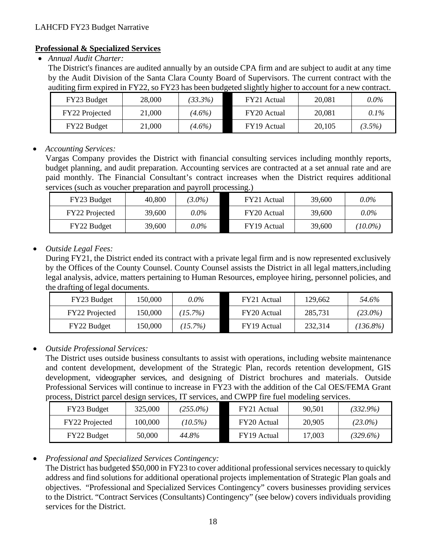### **Professional & Specialized Services**

• *Annual Audit Charter:* 

The District's finances are audited annually by an outside CPA firm and are subject to audit at any time by the Audit Division of the Santa Clara County Board of Supervisors. The current contract with the auditing firm expired in FY22, so FY23 has been budgeted slightly higher to account for a new contract.

| FY23 Budget    | 28,000 | $33.3\%$  | FY21 Actual | 20,081 | $0.0\%$ |
|----------------|--------|-----------|-------------|--------|---------|
| FY22 Projected | 21,000 | $(4.6\%)$ | FY20 Actual | 20,081 | $0.1\%$ |
| FY22 Budget    | 21,000 | $(4.6\%)$ | FY19 Actual | 20,105 | (3.5%)  |

## • *Accounting Services:*

Vargas Company provides the District with financial consulting services including monthly reports, budget planning, and audit preparation. Accounting services are contracted at a set annual rate and are paid monthly. The Financial Consultant's contract increases when the District requires additional services (such as voucher preparation and payroll processing.)

| FY23 Budget    | 40,800 | $3.0\%$ | FY21 Actual | 39,600 | $0.0\%$    |
|----------------|--------|---------|-------------|--------|------------|
| FY22 Projected | 39,600 | $0.0\%$ | FY20 Actual | 39,600 | $0.0\%$    |
| FY22 Budget    | 39,600 | $0.0\%$ | FY19 Actual | 39,600 | $(10.0\%)$ |

## • *Outside Legal Fees:*

During FY21, the District ended its contract with a private legal firm and is now represented exclusively by the Offices of the County Counsel. County Counsel assists the District in all legal matters, including legal analysis, advice, matters pertaining to Human Resources, employee hiring, personnel policies, and the drafting of legal documents.

| FY23 Budget    | 150,000 | $0.0\%$    | FY21 Actual | 129,662 | 54.6%       |
|----------------|---------|------------|-------------|---------|-------------|
| FY22 Projected | 150,000 | $(15.7\%)$ | FY20 Actual | 285,731 | $(23.0\%)$  |
| FY22 Budget    | 150,000 | $(15.7\%)$ | FY19 Actual | 232,314 | $(136.8\%)$ |

## • *Outside Professional Services:*

The District uses outside business consultants to assist with operations, including website maintenance and content development, development of the Strategic Plan, records retention development, GIS development, videographer services, and designing of District brochures and materials. Outside Professional Services will continue to increase in FY23 with the addition of the Cal OES/FEMA Grant process, District parcel design services, IT services, and CWPP fire fuel modeling services.

| FY23 Budget           | 325,000 | $(255.0\%)$ | FY21 Actual | 90.501 | $(332.9\%)$ |
|-----------------------|---------|-------------|-------------|--------|-------------|
| <b>FY22</b> Projected | 100,000 | $(10.5\%)$  | FY20 Actual | 20,905 | $(23.0\%)$  |
| <b>FY22 Budget</b>    | 50,000  | 44.8%       | FY19 Actual | 17,003 | $(329.6\%)$ |

## • *Professional and Specialized Services Contingency:*

The District has budgeted \$50,000 in FY23 to cover additional professional services necessary to quickly address and find solutions for additional operational projects implementation of Strategic Plan goals and objectives. "Professional and Specialized Services Contingency" covers businesses providing services to the District. "Contract Services (Consultants) Contingency" (see below) covers individuals providing services for the District.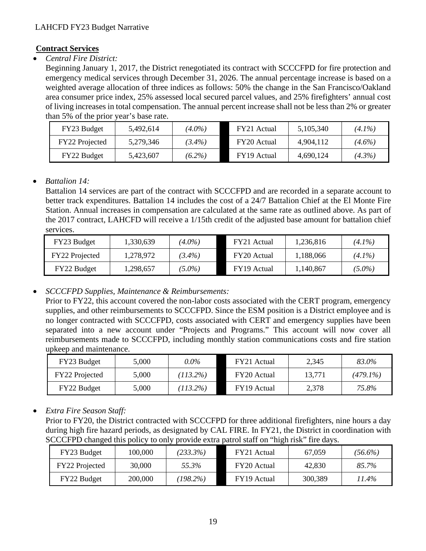## **Contract Services**

• *Central Fire District:*

Beginning January 1, 2017, the District renegotiated its contract with SCCCFPD for fire protection and emergency medical services through December 31, 2026. The annual percentage increase is based on a weighted average allocation of three indices as follows: 50% the change in the San Francisco/Oakland area consumer price index, 25% assessed local secured parcel values, and 25% firefighters' annual cost of living increases in total compensation. The annual percent increase shall not be less than 2% or greater than 5% of the prior year's base rate.

| FY23 Budget    | 5,492,614 | $(4.0\%)$ | FY21 Actual | 5,105,340 | $(4.1\%)$ |
|----------------|-----------|-----------|-------------|-----------|-----------|
| FY22 Projected | 5,279,346 | $(3.4\%)$ | FY20 Actual | 4.904.112 | $(4.6\%)$ |
| FY22 Budget    | 5,423,607 | $(6.2\%)$ | FY19 Actual | 4,690,124 | $(4.3\%)$ |

## • *Battalion 14:*

Battalion 14 services are part of the contract with SCCCFPD and are recorded in a separate account to better track expenditures. Battalion 14 includes the cost of a 24/7 Battalion Chief at the El Monte Fire Station. Annual increases in compensation are calculated at the same rate as outlined above. As part of the 2017 contract, LAHCFD will receive a 1/15th credit of the adjusted base amount for battalion chief services.

| FY23 Budget    | 1,330,639 | $(4.0\%)$ | FY21 Actual | 1,236,816 | $(4.1\%)$ |
|----------------|-----------|-----------|-------------|-----------|-----------|
| FY22 Projected | 1,278,972 | $(3.4\%)$ | FY20 Actual | 1,188,066 | $(4.1\%)$ |
| FY22 Budget    | 1,298,657 | $(5.0\%)$ | FY19 Actual | 1,140,867 | $(5.0\%)$ |

• *SCCCFPD Supplies, Maintenance & Reimbursements:*

Prior to FY22, this account covered the non-labor costs associated with the CERT program, emergency supplies, and other reimbursements to SCCCFPD. Since the ESM position is a District employee and is no longer contracted with SCCCFPD, costs associated with CERT and emergency supplies have been separated into a new account under "Projects and Programs." This account will now cover all reimbursements made to SCCCFPD, including monthly station communications costs and fire station upkeep and maintenance.

| FY23 Budget           | 5,000 | $0.0\%$     | FY21 Actual | 2,345  | 83.0%       |
|-----------------------|-------|-------------|-------------|--------|-------------|
| <b>FY22</b> Projected | 5,000 | $(113.2\%)$ | FY20 Actual | 13,771 | $(479.1\%)$ |
| FY22 Budget           | 5,000 | $(113.2\%)$ | FY19 Actual | 2,378  | 75.8%       |

• *Extra Fire Season Staff:*

Prior to FY20, the District contracted with SCCCFPD for three additional firefighters, nine hours a day during high fire hazard periods, as designated by CAL FIRE. In FY21, the District in coordination with SCCCFPD changed this policy to only provide extra patrol staff on "high risk" fire days.

| FY23 Budget    | 100,000 | $(233.3\%)$ | FY21 Actual | 67,059  | $(56.6\%)$ |
|----------------|---------|-------------|-------------|---------|------------|
| FY22 Projected | 30,000  | 55.3%       | FY20 Actual | 42,830  | 85.7%      |
| FY22 Budget    | 200,000 | $198.2\%$   | FY19 Actual | 300,389 | 11.4%      |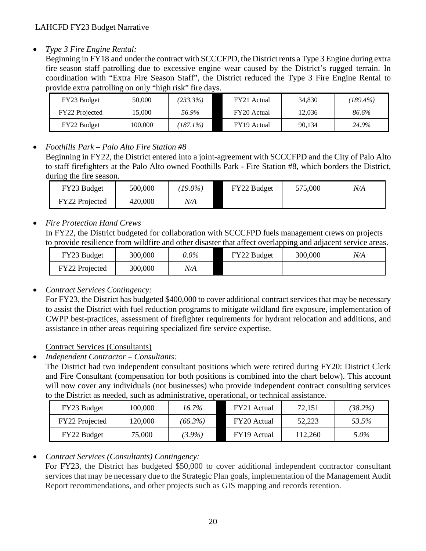• *Type 3 Fire Engine Rental:* 

Beginning in FY18 and under the contract with SCCCFPD, the District rents a Type 3 Engine during extra fire season staff patrolling due to excessive engine wear caused by the District's rugged terrain. In coordination with "Extra Fire Season Staff", the District reduced the Type 3 Fire Engine Rental to provide extra patrolling on only "high risk" fire days.

| FY23 Budget    | 50,000  | (233.3%) | FY21 Actual | 34,830 | $(189.4\%)$ |
|----------------|---------|----------|-------------|--------|-------------|
| FY22 Projected | 15.000  | 56.9%    | FY20 Actual | 12.036 | 86.6%       |
| FY22 Budget    | 100,000 | 187.1%)  | FY19 Actual | 90.134 | 24.9%       |

# • *Foothills Park – Palo Alto Fire Station #8*

Beginning in FY22, the District entered into a joint-agreement with SCCCFPD and the City of Palo Alto to staff firefighters at the Palo Alto owned Foothills Park - Fire Station #8, which borders the District, during the fire season.

| FY23 Budget    | 500,000 | $19.0\%$ | FY22 Budget | 575,000 | N/A |
|----------------|---------|----------|-------------|---------|-----|
| FY22 Projected | 420,000 | N/A      |             |         |     |

# • *Fire Protection Hand Crews*

In FY22, the District budgeted for collaboration with SCCCFPD fuels management crews on projects to provide resilience from wildfire and other disaster that affect overlapping and adjacent service areas.

| FY23 Budget    | 300,000 | $0.0\%$ | FY22 Budget | 300,000 | N/A |
|----------------|---------|---------|-------------|---------|-----|
| FY22 Projected | 300,000 | N/A     |             |         |     |

# • *Contract Services Contingency:*

For FY23, the District has budgeted \$400,000 to cover additional contract services that may be necessary to assist the District with fuel reduction programs to mitigate wildland fire exposure, implementation of CWPP best-practices, assessment of firefighter requirements for hydrant relocation and additions, and assistance in other areas requiring specialized fire service expertise.

## Contract Services (Consultants)

• *Independent Contractor – Consultants:* 

The District had two independent consultant positions which were retired during FY20: District Clerk and Fire Consultant (compensation for both positions is combined into the chart below). This account will now cover any individuals (not businesses) who provide independent contract consulting services to the District as needed, such as administrative, operational, or technical assistance.

| FY23 Budget        | 100,000 | $16.7\%$   | FY21 Actual | 72,151  | $(38.2\%)$ |
|--------------------|---------|------------|-------------|---------|------------|
| FY22 Projected     | 120,000 | $(66.3\%)$ | FY20 Actual | 52.223  | 53.5%      |
| <b>FY22 Budget</b> | 75,000  | $(3.9\%)$  | FY19 Actual | 112.260 | 5.0%       |

# • *Contract Services (Consultants) Contingency:*

For FY23, the District has budgeted \$50,000 to cover additional independent contractor consultant services that may be necessary due to the Strategic Plan goals, implementation of the Management Audit Report recommendations, and other projects such as GIS mapping and records retention.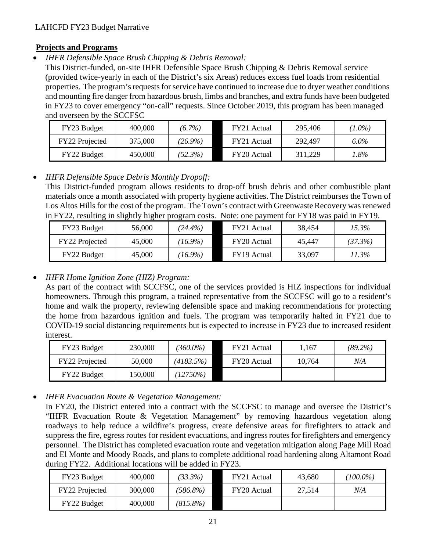### **Projects and Programs**

• *IHFR Defensible Space Brush Chipping & Debris Removal:*

This District-funded, on-site IHFR Defensible Space Brush Chipping & Debris Removal service (provided twice-yearly in each of the District's six Areas) reduces excess fuel loads from residential properties. The program's requests for service have continued to increase due to dryer weather conditions and mounting fire danger from hazardous brush, limbs and branches, and extra funds have been budgeted in FY23 to cover emergency "on-call" requests. Since October 2019, this program has been managed and overseen by the SCCFSC

| FY23 Budget    | 400,000 | $(6.7\%)$  | FY21 Actual | 295,406 | $(1.0\%)$ |
|----------------|---------|------------|-------------|---------|-----------|
| FY22 Projected | 375,000 | $(26.9\%)$ | FY21 Actual | 292,497 | $6.0\%$   |
| FY22 Budget    | 450,000 | (52.3%)    | FY20 Actual | 311,229 | 1.8%      |

## • *IHFR Defensible Space Debris Monthly Dropoff:*

This District-funded program allows residents to drop-off brush debris and other combustible plant materials once a month associated with property hygiene activities. The District reimburses the Town of Los Altos Hills for the cost of the program. The Town's contract with Greenwaste Recovery was renewed in FY22, resulting in slightly higher program costs. Note: one payment for FY18 was paid in FY19.

| FY23 Budget    | 56,000 | $(24.4\%)$ | FY21 Actual | 38,454 | 15.3%   |
|----------------|--------|------------|-------------|--------|---------|
| FY22 Projected | 45,000 | $(16.9\%)$ | FY20 Actual | 45.447 | (37.3%) |
| FY22 Budget    | 45,000 | $(16.9\%)$ | FY19 Actual | 33,097 | 11.3%   |

## • *IHFR Home Ignition Zone (HIZ) Program:*

As part of the contract with SCCFSC, one of the services provided is HIZ inspections for individual homeowners. Through this program, a trained representative from the SCCFSC will go to a resident's home and walk the property, reviewing defensible space and making recommendations for protecting the home from hazardous ignition and fuels. The program was temporarily halted in FY21 due to COVID-19 social distancing requirements but is expected to increase in FY23 due to increased resident interest.

| FY23 Budget    | 230,000 | $360.0\%$ | FY21 Actual | 1.167  | $(89.2\%)$ |
|----------------|---------|-----------|-------------|--------|------------|
| FY22 Projected | 50,000  | (4183.5%) | FY20 Actual | 10,764 | N/A        |
| FY22 Budget    | 150,000 | (12750%)  |             |        |            |

• *IHFR Evacuation Route & Vegetation Management:* 

In FY20, the District entered into a contract with the SCCFSC to manage and oversee the District's "IHFR Evacuation Route & Vegetation Management" by removing hazardous vegetation along roadways to help reduce a wildfire's progress, create defensive areas for firefighters to attack and suppress the fire, egress routes for resident evacuations, and ingress routes for firefighters and emergency personnel. The District has completed evacuation route and vegetation mitigation along Page Mill Road and El Monte and Moody Roads, and plans to complete additional road hardening along Altamont Road during FY22. Additional locations will be added in FY23.

| FY23 Budget           | 400,000 | $(33.3\%)$  | FY21 Actual | 43,680 | $(100.0\%)$ |
|-----------------------|---------|-------------|-------------|--------|-------------|
| <b>FY22</b> Projected | 300,000 | $(586.8\%)$ | FY20 Actual | 27.514 | N/A         |
| FY22 Budget           | 400,000 | $(815.8\%)$ |             |        |             |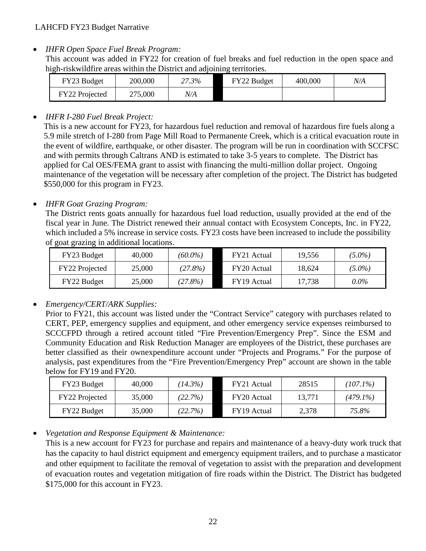• *IHFR Open Space Fuel Break Program:* 

This account was added in FY22 for creation of fuel breaks and fuel reduction in the open space and high-riskwildfire areas within the District and adjoining territories.

| FY23 Budget    | 200,000 | 27.3% | FY22 Budget | 400,000 | N/A |
|----------------|---------|-------|-------------|---------|-----|
| FY22 Projected | 275,000 | V/A   |             |         |     |

## • *IHFR I-280 Fuel Break Project:*

This is a new account for FY23, for hazardous fuel reduction and removal of hazardous fire fuels along a 5.9 mile stretch of I-280 from Page Mill Road to Permanente Creek, which is a critical evacuation route in the event of wildfire, earthquake, or other disaster. The program will be run in coordination with SCCFSC and with permits through Caltrans AND is estimated to take 3-5 years to complete. The District has applied for Cal OES/FEMA grant to assist with financing the multi-million dollar project. Ongoing maintenance of the vegetation will be necessary after completion of the project. The District has budgeted \$550,000 for this program in FY23.

## • *IHFR Goat Grazing Program:*

The District rents goats annually for hazardous fuel load reduction, usually provided at the end of the fiscal year in June. The District renewed their annual contact with Ecosystem Concepts, Inc. in FY22, which included a 5% increase in service costs. FY23 costs have been increased to include the possibility of goat grazing in additional locations.

| FY23 Budget    | 40,000 | $(60.0\%)$ | FY21 Actual | 19.556 | $(5.0\%)$ |
|----------------|--------|------------|-------------|--------|-----------|
| FY22 Projected | 25,000 | (27.8%)    | FY20 Actual | 18,624 | $(5.0\%)$ |
| FY22 Budget    | 25,000 | (27.8%)    | FY19 Actual | 17,738 | $0.0\%$   |

# • *Emergency/CERT/ARK Supplies:*

Prior to FY21, this account was listed under the "Contract Service" category with purchases related to CERT, PEP, emergency supplies and equipment, and other emergency service expenses reimbursed to SCCCFPD through a retired account titled "Fire Prevention/Emergency Prep". Since the ESM and Community Education and Risk Reduction Manager are employees of the District, these purchases are better classified as their ownexpenditure account under "Projects and Programs." For the purpose of analysis, past expenditures from the "Fire Prevention/Emergency Prep" account are shown in the table below for FY19 and FY20.

| FY23 Budget           | 40,000 | $14.3\%$ | FY21 Actual | 28515  | $(107.1\%)$ |
|-----------------------|--------|----------|-------------|--------|-------------|
| <b>FY22</b> Projected | 35,000 | (22.7%)  | FY20 Actual | 13.771 | $(479.1\%)$ |
| FY22 Budget           | 35,000 | (22.7%)  | FY19 Actual | 2,378  | 75.8%       |

# • *Vegetation and Response Equipment & Maintenance:*

This is a new account for FY23 for purchase and repairs and maintenance of a heavy-duty work truck that has the capacity to haul district equipment and emergency equipment trailers, and to purchase a masticator and other equipment to facilitate the removal of vegetation to assist with the preparation and development of evacuation routes and vegetation mitigation of fire roads within the District. The District has budgeted \$175,000 for this account in FY23.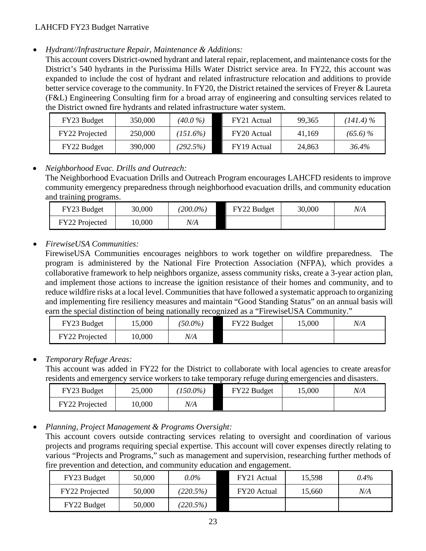• *Hydrant//Infrastructure Repair, Maintenance & Additions:* 

This account covers District-owned hydrant and lateral repair, replacement, and maintenance costs for the District's 540 hydrants in the Purissima Hills Water District service area. In FY22, this account was expanded to include the cost of hydrant and related infrastructure relocation and additions to provide better service coverage to the community. In FY20, the District retained the services of Freyer & Laureta (F&L) Engineering Consulting firm for a broad array of engineering and consulting services related to the District owned fire hydrants and related infrastructure water system.

| FY23 Budget        | 350,000 | $(40.0\%)$  | FY21 Actual | 99.365 | $(141.4)\%$ |
|--------------------|---------|-------------|-------------|--------|-------------|
| FY22 Projected     | 250,000 | $(151.6\%)$ | FY20 Actual | 41.169 | $(65.6)\%$  |
| <b>FY22 Budget</b> | 390.000 | (292.5%)    | FY19 Actual | 24.863 | 36.4%       |

## • *Neighborhood Evac. Drills and Outreach:*

The Neighborhood Evacuation Drills and Outreach Program encourages LAHCFD residents to improve community emergency preparedness through neighborhood evacuation drills, and community education and training programs.

| FY23 Budget    | 30,000 | $(200.0\%)$ | FY22 Budget | 30,000 | N/A |
|----------------|--------|-------------|-------------|--------|-----|
| FY22 Projected | 0,000  | N/A         |             |        |     |

## • *FirewiseUSA Communities:*

FirewiseUSA Communities encourages neighbors to work together on wildfire preparedness. The program is administered by the National Fire Protection Association (NFPA), which provides a collaborative framework to help neighbors organize, assess community risks, create a 3-year action plan, and implement those actions to increase the ignition resistance of their homes and community, and to reduce wildfire risks at a local level. Communities that have followed a systematic approach to organizing and implementing fire resiliency measures and maintain "Good Standing Status" on an annual basis will earn the special distinction of being nationally recognized as a "FirewiseUSA Community."

| FY23 Budget    | 5,000 | 50.0%) | FY22 Budget | 5,000 | N/A |
|----------------|-------|--------|-------------|-------|-----|
| FY22 Projected | 0,000 | N/A    |             |       |     |

## • *Temporary Refuge Areas:*

This account was added in FY22 for the District to collaborate with local agencies to create areasfor residents and emergency service workers to take temporary refuge during emergencies and disasters.

| FY23 Budget    | 25,000 | $150.0\%$ | FY22 Budget | 15,000 | N/A |
|----------------|--------|-----------|-------------|--------|-----|
| FY22 Projected | 10,000 | N/A       |             |        |     |

• *Planning, Project Management & Programs Oversight:*

This account covers outside contracting services relating to oversight and coordination of various projects and programs requiring special expertise. This account will cover expenses directly relating to various "Projects and Programs," such as management and supervision, researching further methods of fire prevention and detection, and community education and engagement.

| FY23 Budget    | 50,000 | $0.0\%$  | FY21 Actual | 15,598 | $0.4\%$ |
|----------------|--------|----------|-------------|--------|---------|
| FY22 Projected | 50,000 | (220.5%) | FY20 Actual | 15,660 | N/A     |
| FY22 Budget    | 50,000 | (220.5%) |             |        |         |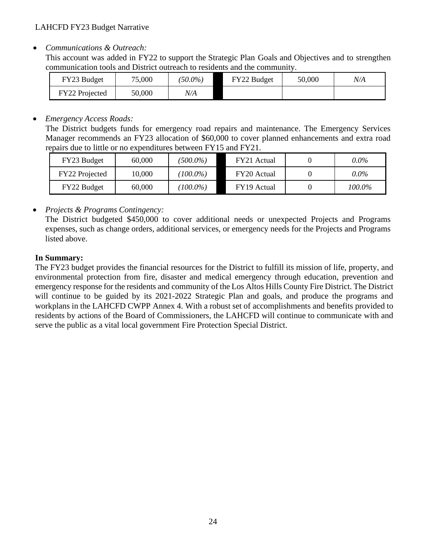• *Communications & Outreach:* 

This account was added in FY22 to support the Strategic Plan Goals and Objectives and to strengthen communication tools and District outreach to residents and the community.

| FY23 Budget    | 75,000 | $(50.0\%)$ | FY22 Budget | 50,000 | N/A |
|----------------|--------|------------|-------------|--------|-----|
| FY22 Projected | 50,000 | N/A        |             |        |     |

### • *Emergency Access Roads:*

The District budgets funds for emergency road repairs and maintenance. The Emergency Services Manager recommends an FY23 allocation of \$60,000 to cover planned enhancements and extra road repairs due to little or no expenditures between FY15 and FY21.

| FY23 Budget    | 60,000 | $(500.0\%)$ | FY21 Actual | $0.0\%$ |
|----------------|--------|-------------|-------------|---------|
| FY22 Projected | 10.000 | $(100.0\%)$ | FY20 Actual | $0.0\%$ |
| FY22 Budget    | 60,000 | $(100.0\%)$ | FY19 Actual | 100.0%  |

## • *Projects & Programs Contingency:*

The District budgeted \$450,000 to cover additional needs or unexpected Projects and Programs expenses, such as change orders, additional services, or emergency needs for the Projects and Programs listed above.

### **In Summary:**

The FY23 budget provides the financial resources for the District to fulfill its mission of life, property, and environmental protection from fire, disaster and medical emergency through education, prevention and emergency response for the residents and community of the Los Altos Hills County Fire District. The District will continue to be guided by its 2021-2022 Strategic Plan and goals, and produce the programs and workplans in the LAHCFD CWPP Annex 4. With a robust set of accomplishments and benefits provided to residents by actions of the Board of Commissioners, the LAHCFD will continue to communicate with and serve the public as a vital local government Fire Protection Special District.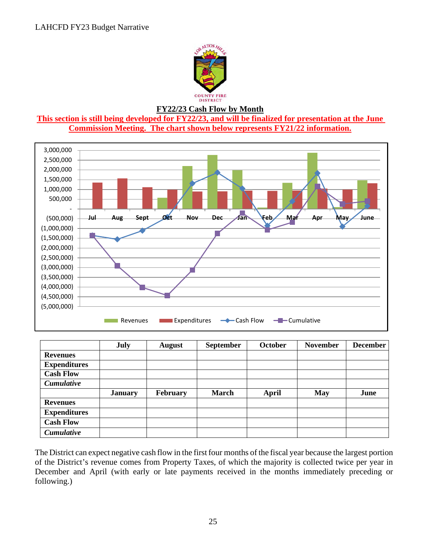

#### **FY22/23 Cash Flow by Month**

**This section is still being developed for FY22/23, and will be finalized for presentation at the June Commission Meeting. The chart shown below represents FY21/22 information.** 



|                     | July           | <b>August</b>   | <b>September</b> | <b>October</b> | <b>November</b> | <b>December</b> |
|---------------------|----------------|-----------------|------------------|----------------|-----------------|-----------------|
| <b>Revenues</b>     |                |                 |                  |                |                 |                 |
| <b>Expenditures</b> |                |                 |                  |                |                 |                 |
| <b>Cash Flow</b>    |                |                 |                  |                |                 |                 |
| <b>Cumulative</b>   |                |                 |                  |                |                 |                 |
|                     | <b>January</b> | <b>February</b> | <b>March</b>     | April          | <b>May</b>      | June            |
| <b>Revenues</b>     |                |                 |                  |                |                 |                 |
| <b>Expenditures</b> |                |                 |                  |                |                 |                 |
| <b>Cash Flow</b>    |                |                 |                  |                |                 |                 |
| <b>Cumulative</b>   |                |                 |                  |                |                 |                 |

The District can expect negative cash flow in the first four months of the fiscal year because the largest portion of the District's revenue comes from Property Taxes, of which the majority is collected twice per year in December and April (with early or late payments received in the months immediately preceding or following.)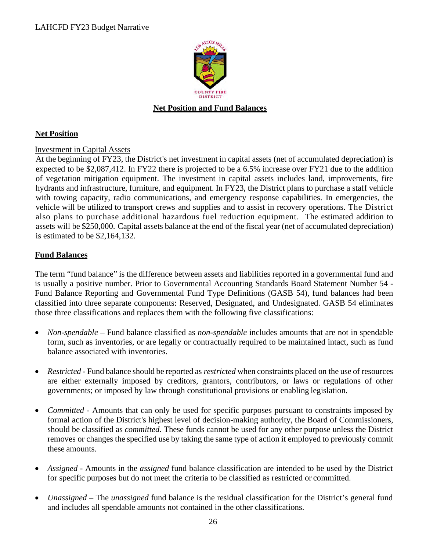

### **Net Position and Fund Balances**

#### **Net Position**

#### Investment in Capital Assets

At the beginning of FY23, the District's net investment in capital assets (net of accumulated depreciation) is expected to be \$2,087,412. In FY22 there is projected to be a 6.5% increase over FY21 due to the addition of vegetation mitigation equipment. The investment in capital assets includes land, improvements, fire hydrants and infrastructure, furniture, and equipment. In FY23, the District plans to purchase a staff vehicle with towing capacity, radio communications, and emergency response capabilities. In emergencies, the vehicle will be utilized to transport crews and supplies and to assist in recovery operations. The District also plans to purchase additional hazardous fuel reduction equipment. The estimated addition to assets will be \$250,000. Capital assets balance at the end of the fiscal year (net of accumulated depreciation) is estimated to be \$2,164,132.

#### **Fund Balances**

The term "fund balance" is the difference between assets and liabilities reported in a governmental fund and is usually a positive number. Prior to Governmental Accounting Standards Board Statement Number 54 - Fund Balance Reporting and Governmental Fund Type Definitions (GASB 54), fund balances had been classified into three separate components: Reserved, Designated, and Undesignated. GASB 54 eliminates those three classifications and replaces them with the following five classifications:

- *Non-spendable –* Fund balance classified as *non-spendable* includes amounts that are not in spendable form, such as inventories, or are legally or contractually required to be maintained intact, such as fund balance associated with inventories.
- *Restricted* Fund balance should be reported as *restricted* when constraints placed on the use of resources are either externally imposed by creditors, grantors, contributors, or laws or regulations of other governments; or imposed by law through constitutional provisions or enabling legislation.
- *Committed* Amounts that can only be used for specific purposes pursuant to constraints imposed by formal action of the District's highest level of decision-making authority, the Board of Commissioners, should be classified as *committed*. These funds cannot be used for any other purpose unless the District removes or changes the specified use by taking the same type of action it employed to previously commit these amounts.
- *Assigned* Amounts in the *assigned* fund balance classification are intended to be used by the District for specific purposes but do not meet the criteria to be classified as restricted or committed.
- *Unassigned*  The *unassigned* fund balance is the residual classification for the District's general fund and includes all spendable amounts not contained in the other classifications.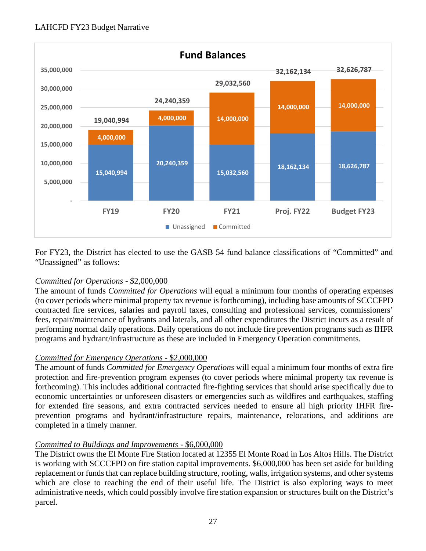

For FY23, the District has elected to use the GASB 54 fund balance classifications of "Committed" and "Unassigned" as follows:

## *Committed for Operations* - \$2,000,000

The amount of funds *Committed for Operations* will equal a minimum four months of operating expenses (to cover periods where minimal property tax revenue is forthcoming), including base amounts of SCCCFPD contracted fire services, salaries and payroll taxes, consulting and professional services, commissioners' fees, repair/maintenance of hydrants and laterals, and all other expenditures the District incurs as a result of performing normal daily operations. Daily operations do not include fire prevention programs such as IHFR programs and hydrant/infrastructure as these are included in Emergency Operation commitments.

## *Committed for Emergency Operations* - \$2,000,000

The amount of funds *Committed for Emergency Operations* will equal a minimum four months of extra fire protection and fire-prevention program expenses (to cover periods where minimal property tax revenue is forthcoming). This includes additional contracted fire-fighting services that should arise specifically due to economic uncertainties or unforeseen disasters or emergencies such as wildfires and earthquakes, staffing for extended fire seasons, and extra contracted services needed to ensure all high priority IHFR fireprevention programs and hydrant/infrastructure repairs, maintenance, relocations, and additions are completed in a timely manner.

## *Committed to Buildings and Improvements -* \$6,000,000

The District owns the El Monte Fire Station located at 12355 El Monte Road in Los Altos Hills. The District is working with SCCCFPD on fire station capital improvements. \$6,000,000 has been set aside for building replacement or funds that can replace building structure, roofing, walls, irrigation systems, and other systems which are close to reaching the end of their useful life. The District is also exploring ways to meet administrative needs, which could possibly involve fire station expansion or structures built on the District's parcel.